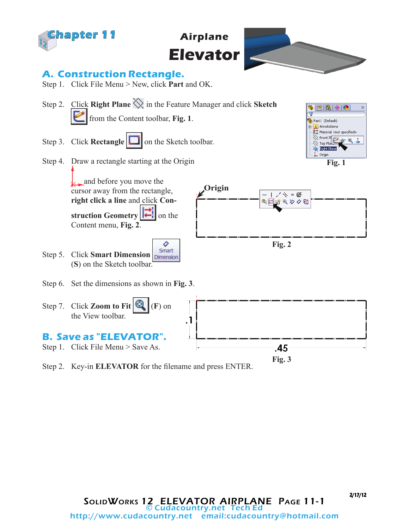



**Fig. 3**

### **A. Construction Rectangle.**

Step 1. Click File Menu > New, click **Part** and OK.



Step 2. Key-in **ELEVATOR** for the filename and press ENTER.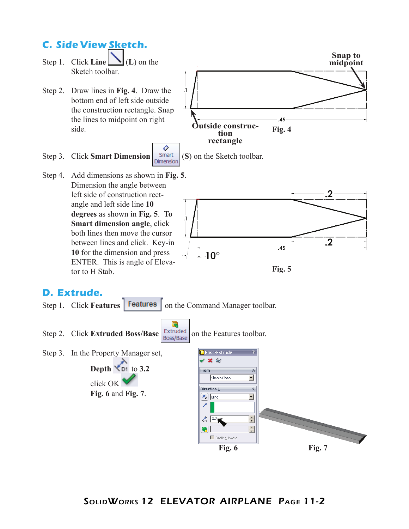# **C. Side View Sketch.**

- Step 1. Click **Line**  $\boxed{\triangle}$  (**L**) on the Sketch toolbar.
- Step 2. Draw lines in **Fig. 4**. Draw the bottom end of left side outside the construction rectangle. Snap the lines to midpoint on right side.
- Step 3. Click **Smart Dimension**  $\begin{bmatrix}$  Smart (**S**) on the Sketch toolbar.
- Step 4. Add dimensions as shown in **Fig. 5**. Dimension the angle between left side of construction rectangle and left side line **10 degrees** as shown in **Fig. 5**. **To Smart dimension angle**, click both lines then move the cursor between lines and click. Key-in **10** for the dimension and press ENTER. This is angle of Elevator to H Stab.



**Fig. 5**

45

 $\overline{\mathbf{2}}$ 

### **D. Extrude.**

Step 1. Click **Features** | **Features** | on the Command Manager toolbar.

Ò



 $10^{\circ}$ 

### SolidWorks 12 ELEVATOR AIRPLANE Page 11-2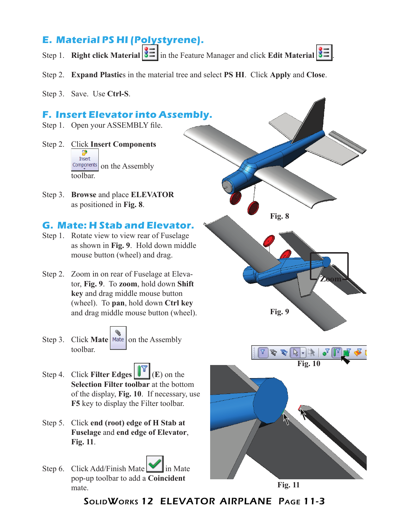## **E. Material PS HI (Polystyrene).**

- Step 1. **Right click Material**  $\left| \frac{3}{2} \right|$  in the Feature Manager and click **Edit Material**  $\left| \frac{3}{2} \right|$ .
- Step 2. **Expand Plastic**s in the material tree and select **PS HI**. Click **Apply** and **Close**.
- Step 3. Save. Use **Ctrl-S**.

### **F. Insert Elevator into Assembly.**

- Step 1. Open your ASSEMBLY file.
- Step 2. Click **Insert Components** 19 Insert on the Assembly toolbar.
- Step 3. **Browse** and place **ELEVATOR** as positioned in **Fig. 8**.

### **G. Mate: H Stab and Elevator.**

- Step 1. Rotate view to view rear of Fuselage as shown in **Fig. 9**. Hold down middle mouse button (wheel) and drag.
- Step 2. Zoom in on rear of Fuselage at Elevator, **Fig. 9**. To **zoom**, hold down **Shift key** and drag middle mouse button (wheel). To **pan**, hold down **Ctrl key** and drag middle mouse button (wheel).
- Step 3. Click **Mate Mate** on the Assembly toolbar.
- Step 4. Click **Filter Edges**  $\|\cdot\|$  (**E**) on the **Selection Filter toolbar** at the bottom of the display, **Fig. 10**. If necessary, use **F5** key to display the Filter toolbar.
- Step 5. Click **end (root) edge of H Stab at Fuselage** and **end edge of Elevator**, **Fig. 11**.
- Step 6. Click Add/Finish Mate pop-up toolbar to add a **Coincident**  mate.



SolidWorks 12 ELEVATOR AIRPLANE Page 11-3